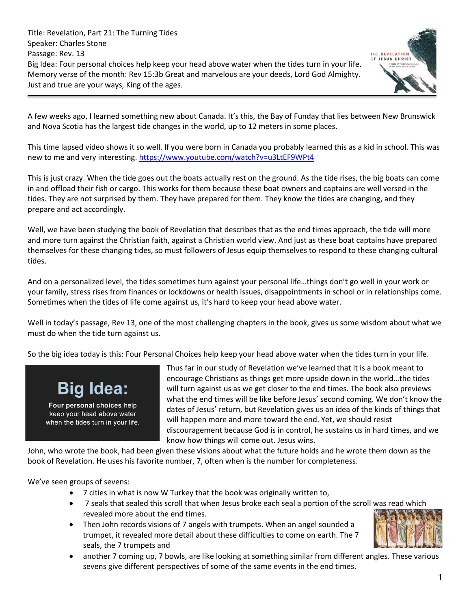

A few weeks ago, I learned something new about Canada. It's this, the Bay of Funday that lies between New Brunswick and Nova Scotia has the largest tide changes in the world, up to 12 meters in some places.

This time lapsed video shows it so well. If you were born in Canada you probably learned this as a kid in school. This was new to me and very interesting. <https://www.youtube.com/watch?v=u3LtEF9WPt4>

This is just crazy. When the tide goes out the boats actually rest on the ground. As the tide rises, the big boats can come in and offload their fish or cargo. This works for them because these boat owners and captains are well versed in the tides. They are not surprised by them. They have prepared for them. They know the tides are changing, and they prepare and act accordingly.

Well, we have been studying the book of Revelation that describes that as the end times approach, the tide will more and more turn against the Christian faith, against a Christian world view. And just as these boat captains have prepared themselves for these changing tides, so must followers of Jesus equip themselves to respond to these changing cultural tides.

And on a personalized level, the tides sometimes turn against your personal life…things don't go well in your work or your family, stress rises from finances or lockdowns or health issues, disappointments in school or in relationships come. Sometimes when the tides of life come against us, it's hard to keep your head above water.

Well in today's passage, Rev 13, one of the most challenging chapters in the book, gives us some wisdom about what we must do when the tide turn against us.

So the big idea today is this: Four Personal Choices help keep your head above water when the tides turn in your life.

# **Big Idea:**

Four personal choices help keep your head above water when the tides turn in your life. Thus far in our study of Revelation we've learned that it is a book meant to encourage Christians as things get more upside down in the world…the tides will turn against us as we get closer to the end times. The book also previews what the end times will be like before Jesus' second coming. We don't know the dates of Jesus' return, but Revelation gives us an idea of the kinds of things that will happen more and more toward the end. Yet, we should resist discouragement because God is in control, he sustains us in hard times, and we know how things will come out. Jesus wins.

John, who wrote the book, had been given these visions about what the future holds and he wrote them down as the book of Revelation. He uses his favorite number, 7, often when is the number for completeness.

We've seen groups of sevens:

- 7 cities in what is now W Turkey that the book was originally written to,
- 7 seals that sealed this scroll that when Jesus broke each seal a portion of the scroll was read which revealed more about the end times.
- Then John records visions of 7 angels with trumpets. When an angel sounded a trumpet, it revealed more detail about these difficulties to come on earth. The 7 seals, the 7 trumpets and



• another 7 coming up, 7 bowls, are like looking at something similar from different angles. These various sevens give different perspectives of some of the same events in the end times.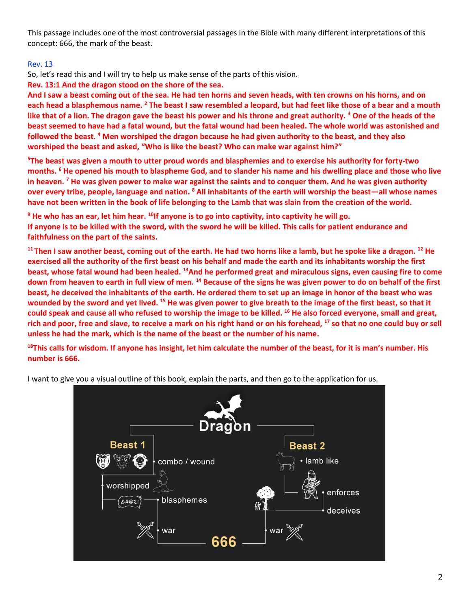This passage includes one of the most controversial passages in the Bible with many different interpretations of this concept: 666, the mark of the beast.

## Rev. 13

So, let's read this and I will try to help us make sense of the parts of this vision.

**Rev. 13:1 And the dragon stood on the shore of the sea.**

**And I saw a beast coming out of the sea. He had ten horns and seven heads, with ten crowns on his horns, and on each head a blasphemous name. <sup>2</sup> The beast I saw resembled a leopard, but had feet like those of a bear and a mouth like that of a lion. The dragon gave the beast his power and his throne and great authority. <sup>3</sup> One of the heads of the beast seemed to have had a fatal wound, but the fatal wound had been healed. The whole world was astonished and followed the beast. <sup>4</sup> Men worshiped the dragon because he had given authority to the beast, and they also worshiped the beast and asked, "Who is like the beast? Who can make war against him?"**

**<sup>5</sup>The beast was given a mouth to utter proud words and blasphemies and to exercise his authority for forty-two months. <sup>6</sup> He opened his mouth to blaspheme God, and to slander his name and his dwelling place and those who live in heaven. <sup>7</sup> He was given power to make war against the saints and to conquer them. And he was given authority over every tribe, people, language and nation. <sup>8</sup> All inhabitants of the earth will worship the beast—all whose names have not been written in the book of life belonging to the Lamb that was slain from the creation of the world.**

**<sup>9</sup> He who has an ear, let him hear. <sup>10</sup>If anyone is to go into captivity, into captivity he will go. If anyone is to be killed with the sword, with the sword he will be killed. This calls for patient endurance and faithfulness on the part of the saints.**

**<sup>11</sup> Then I saw another beast, coming out of the earth. He had two horns like a lamb, but he spoke like a dragon. <sup>12</sup> He exercised all the authority of the first beast on his behalf and made the earth and its inhabitants worship the first beast, whose fatal wound had been healed. <sup>13</sup>And he performed great and miraculous signs, even causing fire to come down from heaven to earth in full view of men. <sup>14</sup> Because of the signs he was given power to do on behalf of the first beast, he deceived the inhabitants of the earth. He ordered them to set up an image in honor of the beast who was wounded by the sword and yet lived. <sup>15</sup> He was given power to give breath to the image of the first beast, so that it could speak and cause all who refused to worship the image to be killed. <sup>16</sup> He also forced everyone, small and great, rich and poor, free and slave, to receive a mark on his right hand or on his forehead, <sup>17</sup> so that no one could buy or sell unless he had the mark, which is the name of the beast or the number of his name.**

**<sup>18</sup>This calls for wisdom. If anyone has insight, let him calculate the number of the beast, for it is man's number. His number is 666.**

I want to give you a visual outline of this book, explain the parts, and then go to the application for us.

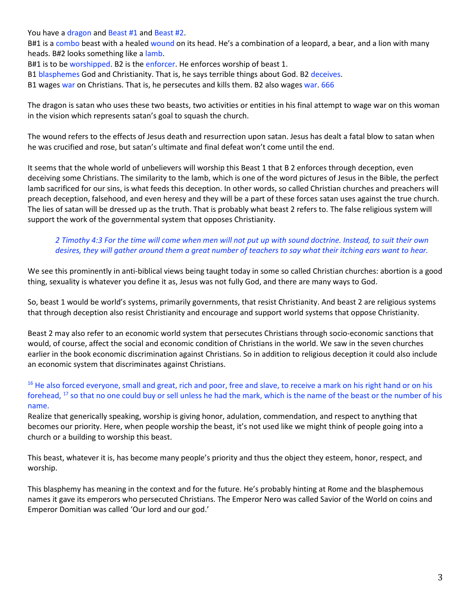You have a dragon and Beast #1 and Beast #2.

B#1 is a combo beast with a healed wound on its head. He's a combination of a leopard, a bear, and a lion with many heads. B#2 looks something like a lamb.

B#1 is to be worshipped. B2 is the enforcer. He enforces worship of beast 1.

B1 blasphemes God and Christianity. That is, he says terrible things about God. B2 deceives.

B1 wages war on Christians. That is, he persecutes and kills them. B2 also wages war. 666

The dragon is satan who uses these two beasts, two activities or entities in his final attempt to wage war on this woman in the vision which represents satan's goal to squash the church.

The wound refers to the effects of Jesus death and resurrection upon satan. Jesus has dealt a fatal blow to satan when he was crucified and rose, but satan's ultimate and final defeat won't come until the end.

It seems that the whole world of unbelievers will worship this Beast 1 that B 2 enforces through deception, even deceiving some Christians. The similarity to the lamb, which is one of the word pictures of Jesus in the Bible, the perfect lamb sacrificed for our sins, is what feeds this deception. In other words, so called Christian churches and preachers will preach deception, falsehood, and even heresy and they will be a part of these forces satan uses against the true church. The lies of satan will be dressed up as the truth. That is probably what beast 2 refers to. The false religious system will support the work of the governmental system that opposes Christianity.

## *2 Timothy 4:3 For the time will come when men will not put up with sound doctrine. Instead, to suit their own desires, they will gather around them a great number of teachers to say what their itching ears want to hear.*

We see this prominently in anti-biblical views being taught today in some so called Christian churches: abortion is a good thing, sexuality is whatever you define it as, Jesus was not fully God, and there are many ways to God.

So, beast 1 would be world's systems, primarily governments, that resist Christianity. And beast 2 are religious systems that through deception also resist Christianity and encourage and support world systems that oppose Christianity.

Beast 2 may also refer to an economic world system that persecutes Christians through socio-economic sanctions that would, of course, affect the social and economic condition of Christians in the world. We saw in the seven churches earlier in the book economic discrimination against Christians. So in addition to religious deception it could also include an economic system that discriminates against Christians.

#### <sup>16</sup> He also forced everyone, small and great, rich and poor, free and slave, to receive a mark on his right hand or on his forehead, <sup>17</sup> so that no one could buy or sell unless he had the mark, which is the name of the beast or the number of his name.

Realize that generically speaking, worship is giving honor, adulation, commendation, and respect to anything that becomes our priority. Here, when people worship the beast, it's not used like we might think of people going into a church or a building to worship this beast.

This beast, whatever it is, has become many people's priority and thus the object they esteem, honor, respect, and worship.

This blasphemy has meaning in the context and for the future. He's probably hinting at Rome and the blasphemous names it gave its emperors who persecuted Christians. The Emperor Nero was called Savior of the World on coins and Emperor Domitian was called 'Our lord and our god.'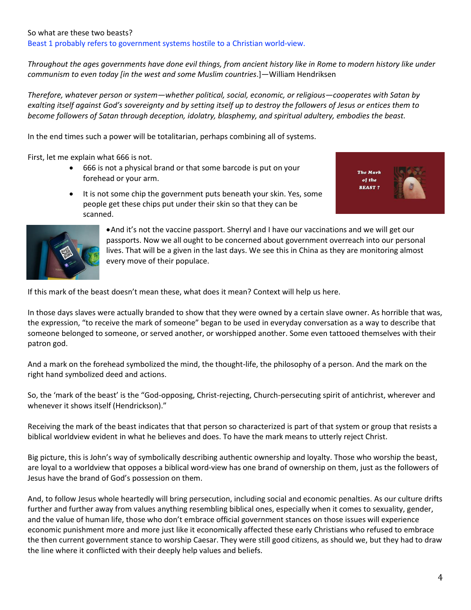#### So what are these two beasts?

Beast 1 probably refers to government systems hostile to a Christian world-view.

*Throughout the ages governments have done evil things, from ancient history like in Rome to modern history like under communism to even today [in the west and some Muslim countries*.]—William Hendriksen

*Therefore, whatever person or system—whether political, social, economic, or religious—cooperates with Satan by exalting itself against God's sovereignty and by setting itself up to destroy the followers of Jesus or entices them to become followers of Satan through deception, idolatry, blasphemy, and spiritual adultery, embodies the beast.*

In the end times such a power will be totalitarian, perhaps combining all of systems.

First, let me explain what 666 is not.

- 666 is not a physical brand or that some barcode is put on your forehead or your arm.
- It is not some chip the government puts beneath your skin. Yes, some people get these chips put under their skin so that they can be scanned.





•And it's not the vaccine passport. Sherryl and I have our vaccinations and we will get our passports. Now we all ought to be concerned about government overreach into our personal lives. That will be a given in the last days. We see this in China as they are monitoring almost every move of their populace.

If this mark of the beast doesn't mean these, what does it mean? Context will help us here.

In those days slaves were actually branded to show that they were owned by a certain slave owner. As horrible that was, the expression, "to receive the mark of someone" began to be used in everyday conversation as a way to describe that someone belonged to someone, or served another, or worshipped another. Some even tattooed themselves with their patron god.

And a mark on the forehead symbolized the mind, the thought-life, the philosophy of a person. And the mark on the right hand symbolized deed and actions.

So, the 'mark of the beast' is the "God-opposing, Christ-rejecting, Church-persecuting spirit of antichrist, wherever and whenever it shows itself (Hendrickson)."

Receiving the mark of the beast indicates that that person so characterized is part of that system or group that resists a biblical worldview evident in what he believes and does. To have the mark means to utterly reject Christ.

Big picture, this is John's way of symbolically describing authentic ownership and loyalty. Those who worship the beast, are loyal to a worldview that opposes a biblical word-view has one brand of ownership on them, just as the followers of Jesus have the brand of God's possession on them.

And, to follow Jesus whole heartedly will bring persecution, including social and economic penalties. As our culture drifts further and further away from values anything resembling biblical ones, especially when it comes to sexuality, gender, and the value of human life, those who don't embrace official government stances on those issues will experience economic punishment more and more just like it economically affected these early Christians who refused to embrace the then current government stance to worship Caesar. They were still good citizens, as should we, but they had to draw the line where it conflicted with their deeply help values and beliefs.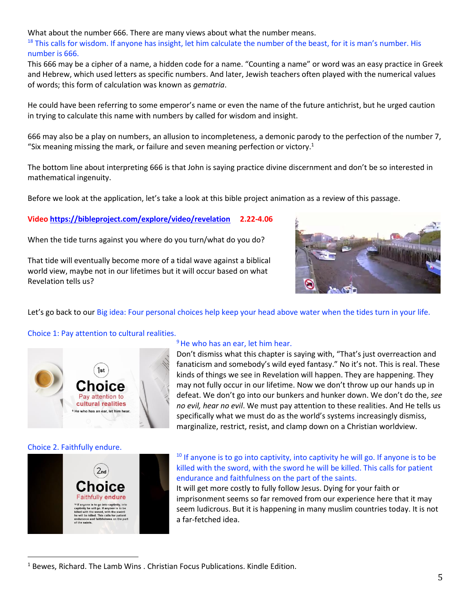What about the number 666. There are many views about what the number means.

<sup>18</sup> This calls for wisdom. If anyone has insight, let him calculate the number of the beast, for it is man's number. His number is 666.

This 666 may be a cipher of a name, a hidden code for a name. "Counting a name" or word was an easy practice in Greek and Hebrew, which used letters as specific numbers. And later, Jewish teachers often played with the numerical values of words; this form of calculation was known as *gematria*.

He could have been referring to some emperor's name or even the name of the future antichrist, but he urged caution in trying to calculate this name with numbers by called for wisdom and insight.

666 may also be a play on numbers, an allusion to incompleteness, a demonic parody to the perfection of the number 7, "Six meaning missing the mark, or failure and seven meaning perfection or victory.<sup>1</sup>

The bottom line about interpreting 666 is that John is saying practice divine discernment and don't be so interested in mathematical ingenuity.

Before we look at the application, let's take a look at this bible project animation as a review of this passage.

**Video<https://bibleproject.com/explore/video/revelation> 2.22-4.06**

When the tide turns against you where do you turn/what do you do?

That tide will eventually become more of a tidal wave against a biblical world view, maybe not in our lifetimes but it will occur based on what Revelation tells us?



Let's go back to our Big idea: Four personal choices help keep your head above water when the tides turn in your life.

#### Choice 1: Pay attention to cultural realities.



#### <sup>9</sup> He who has an ear, let him hear.

Don't dismiss what this chapter is saying with, "That's just overreaction and fanaticism and somebody's wild eyed fantasy." No it's not. This is real. These kinds of things we see in Revelation will happen. They are happening. They may not fully occur in our lifetime. Now we don't throw up our hands up in defeat. We don't go into our bunkers and hunker down. We don't do the, *see no evil, hear no evil*. We must pay attention to these realities. And He tells us specifically what we must do as the world's systems increasingly dismiss, marginalize, restrict, resist, and clamp down on a Christian worldview.

#### Choice 2. Faithfully endure.



# $10$  If anyone is to go into captivity, into captivity he will go. If anyone is to be killed with the sword, with the sword he will be killed. This calls for patient endurance and faithfulness on the part of the saints.

It will get more costly to fully follow Jesus. Dying for your faith or imprisonment seems so far removed from our experience here that it may seem ludicrous. But it is happening in many muslim countries today. It is not a far-fetched idea.

 $<sup>1</sup>$  Bewes, Richard. The Lamb Wins . Christian Focus Publications. Kindle Edition.</sup>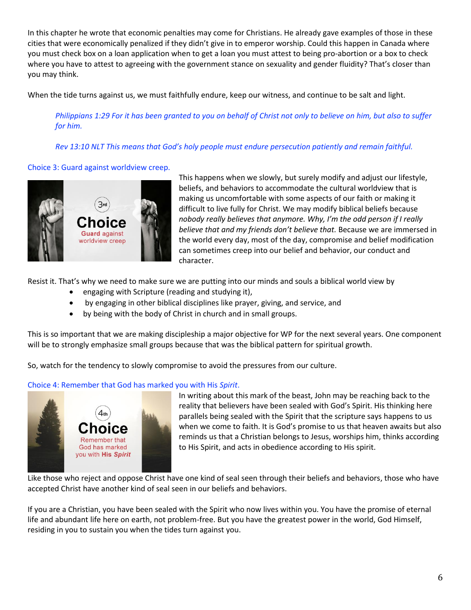In this chapter he wrote that economic penalties may come for Christians. He already gave examples of those in these cities that were economically penalized if they didn't give in to emperor worship. Could this happen in Canada where you must check box on a loan application when to get a loan you must attest to being pro-abortion or a box to check where you have to attest to agreeing with the government stance on sexuality and gender fluidity? That's closer than you may think.

When the tide turns against us, we must faithfully endure, keep our witness, and continue to be salt and light.

*Philippians 1:29 For it has been granted to you on behalf of Christ not only to believe on him, but also to suffer for him.*

*Rev 13:10 NLT This means that God's holy people must endure persecution patiently and remain faithful.*

# Choice 3: Guard against worldview creep.



This happens when we slowly, but surely modify and adjust our lifestyle, beliefs, and behaviors to accommodate the cultural worldview that is making us uncomfortable with some aspects of our faith or making it difficult to live fully for Christ. We may modify biblical beliefs because *nobody really believes that anymore. Why, I'm the odd person if I really believe that and my friends don't believe that.* Because we are immersed in the world every day, most of the day, compromise and belief modification can sometimes creep into our belief and behavior, our conduct and character.

Resist it. That's why we need to make sure we are putting into our minds and souls a biblical world view by

- engaging with Scripture (reading and studying it),
- by engaging in other biblical disciplines like prayer, giving, and service, and
- by being with the body of Christ in church and in small groups.

This is so important that we are making discipleship a major objective for WP for the next several years. One component will be to strongly emphasize small groups because that was the biblical pattern for spiritual growth.

So, watch for the tendency to slowly compromise to avoid the pressures from our culture.

## Choice 4: Remember that God has marked you with His *Spirit*.



In writing about this mark of the beast, John may be reaching back to the reality that believers have been sealed with God's Spirit. His thinking here parallels being sealed with the Spirit that the scripture says happens to us when we come to faith. It is God's promise to us that heaven awaits but also reminds us that a Christian belongs to Jesus, worships him, thinks according to His Spirit, and acts in obedience according to His spirit.

Like those who reject and oppose Christ have one kind of seal seen through their beliefs and behaviors, those who have accepted Christ have another kind of seal seen in our beliefs and behaviors.

If you are a Christian, you have been sealed with the Spirit who now lives within you. You have the promise of eternal life and abundant life here on earth, not problem-free. But you have the greatest power in the world, God Himself, residing in you to sustain you when the tides turn against you.